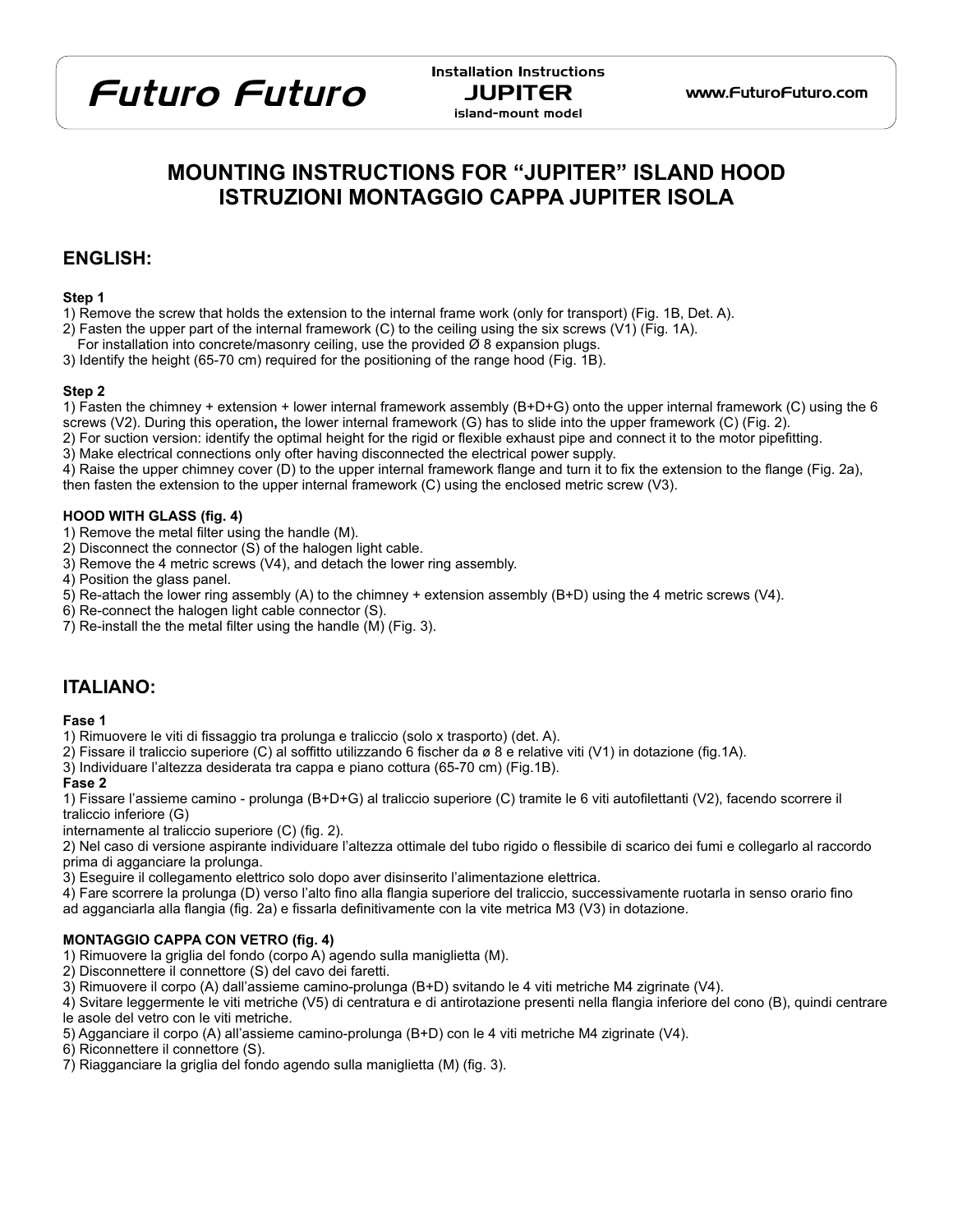## Futuro Futuro JUPITER <www.FuturoFuturo.com>

Installation Instructions island-mount model

## **MOUNTING INSTRUCTIONS FOR "JUPITER" ISLAND HOOD ISTRUZIONI MONTAGGIO CAPPA JUPITER ISOLA**

## **ENGLISH:**

#### **Step 1**

- 1) Remove the screw that holds the extension to the internal frame work (only for transport) (Fig. 1B, Det. A).
- 2) Fasten the upper part of the internal framework (C) to the ceiling using the six screws (V1) (Fig. 1A).
- For installation into concrete/masonry ceiling, use the provided  $\varnothing$  8 expansion plugs.

3) Identify the height (65-70 cm) required for the positioning of the range hood (Fig. 1B).

## **Step 2**

- 1) Fasten the chimney + extension + lower internal framework assembly (B+D+G) onto the upper internal framework (C) using the 6 screws (V2). During this operation**,** the lower internal framework (G) has to slide into the upper framework (C) (Fig. 2).
- 2) For suction version: identify the optimal height for the rigid or flexible exhaust pipe and connect it to the motor pipefitting.
- 3) Make electrical connections only ofter having disconnected the electrical power supply.

4) Raise the upper chimney cover (D) to the upper internal framework flange and turn it to fix the extension to the flange (Fig. 2a),

then fasten the extension to the upper internal framework (C) using the enclosed metric screw (V3).

## **HOOD WITH GLASS (fig. 4)**

- 1) Remove the metal filter using the handle (M).
- 2) Disconnect the connector (S) of the halogen light cable.
- 3) Remove the 4 metric screws (V4), and detach the lower ring assembly.
- 4) Position the glass panel.
- 5) Re-attach the lower ring assembly (A) to the chimney + extension assembly (B+D) using the 4 metric screws (V4).
- 6) Re-connect the halogen light cable connector (S).
- 7) Re-install the the metal filter using the handle (M) (Fig. 3).

## **ITALIANO:**

## **Fase 1**

- 1) Rimuovere le viti di fissaggio tra prolunga e traliccio (solo x trasporto) (det. A).
- 2) Fissare il traliccio superiore (C) al soffitto utilizzando 6 fischer da ø 8 e relative viti (V1) in dotazione (fig.1A).
- 3) Individuare l'altezza desiderata tra cappa e piano cottura (65-70 cm) (Fig.1B).

## **Fase 2**

1) Fissare l'assieme camino - prolunga (B+D+G) al traliccio superiore (C) tramite le 6 viti autofilettanti (V2), facendo scorrere il traliccio inferiore (G)

internamente al traliccio superiore (C) (fig. 2).

2) Nel caso di versione aspirante individuare l'altezza ottimale del tubo rigido o flessibile di scarico dei fumi e collegarlo al raccordo prima di agganciare la prolunga.

3) Eseguire il collegamento elettrico solo dopo aver disinserito l'alimentazione elettrica.

- 4) Fare scorrere la prolunga (D) verso l'alto fino alla flangia superiore del traliccio, successivamente ruotarla in senso orario fino
- ad agganciarla alla flangia (fig. 2a) e fissarla definitivamente con la vite metrica M3 (V3) in dotazione.

## **MONTAGGIO CAPPA CON VETRO (fig. 4)**

- 1) Rimuovere la griglia del fondo (corpo A) agendo sulla maniglietta (M).
- 2) Disconnettere il connettore (S) del cavo dei faretti.
- 3) Rimuovere il corpo (A) dall'assieme camino-prolunga (B+D) svitando le 4 viti metriche M4 zigrinate (V4).
- 4) Svitare leggermente le viti metriche (V5) di centratura e di antirotazione presenti nella flangia inferiore del cono (B), quindi centrare le asole del vetro con le viti metriche.
- 5) Agganciare il corpo (A) all'assieme camino-prolunga (B+D) con le 4 viti metriche M4 zigrinate (V4).
- 6) Riconnettere il connettore (S).
- 7) Riagganciare la griglia del fondo agendo sulla maniglietta (M) (fig. 3).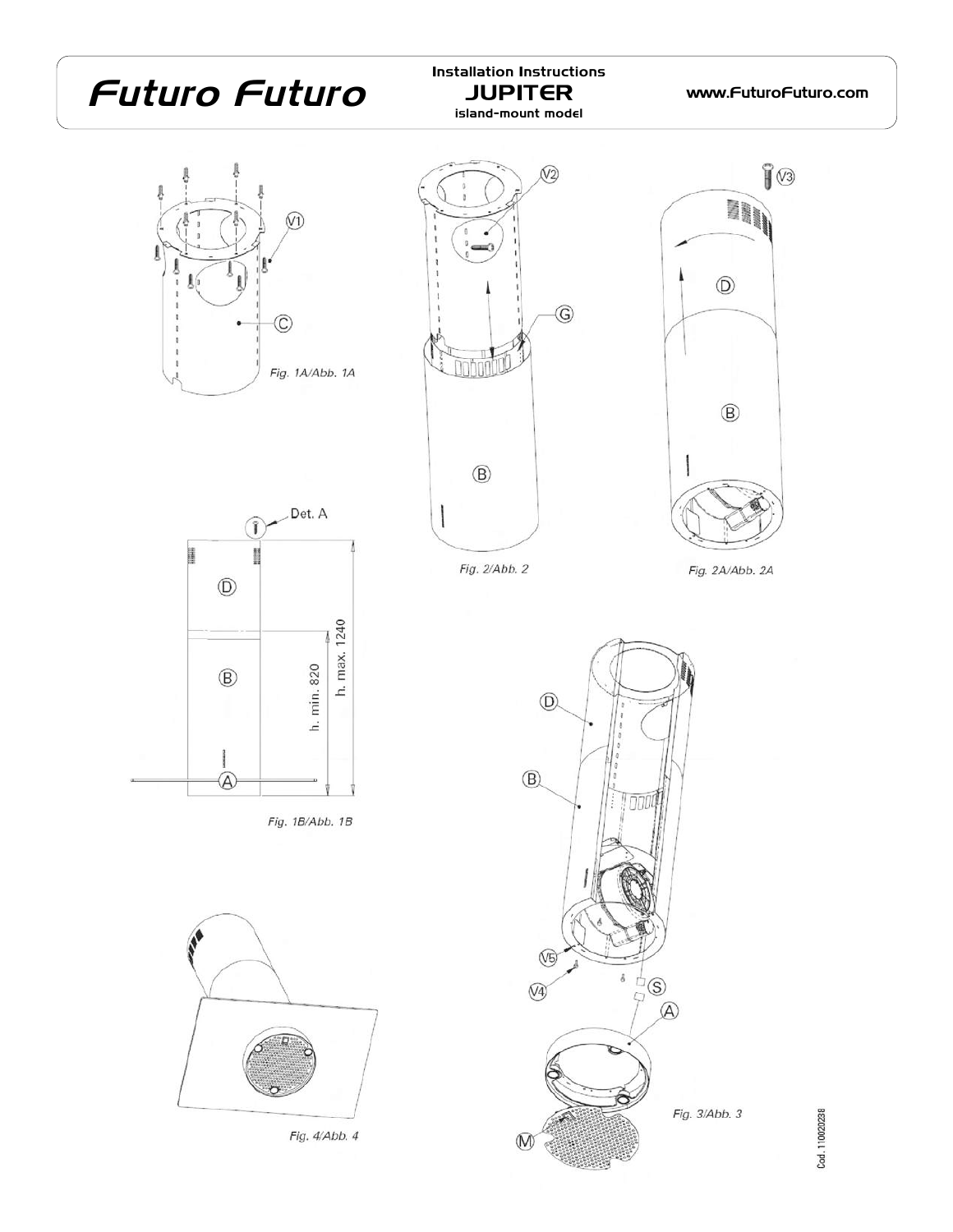# Futuro Futuro JUPITER www.FuturoFuturo.com

Installation Instructions island-mount model





Fig. 2/Abb. 2



h. max. 1240 h. min. 820  $\circledR$ @

Fig. 1B/Abb. 1B



Fig. 4/Abb. 4



Cod. 110020238